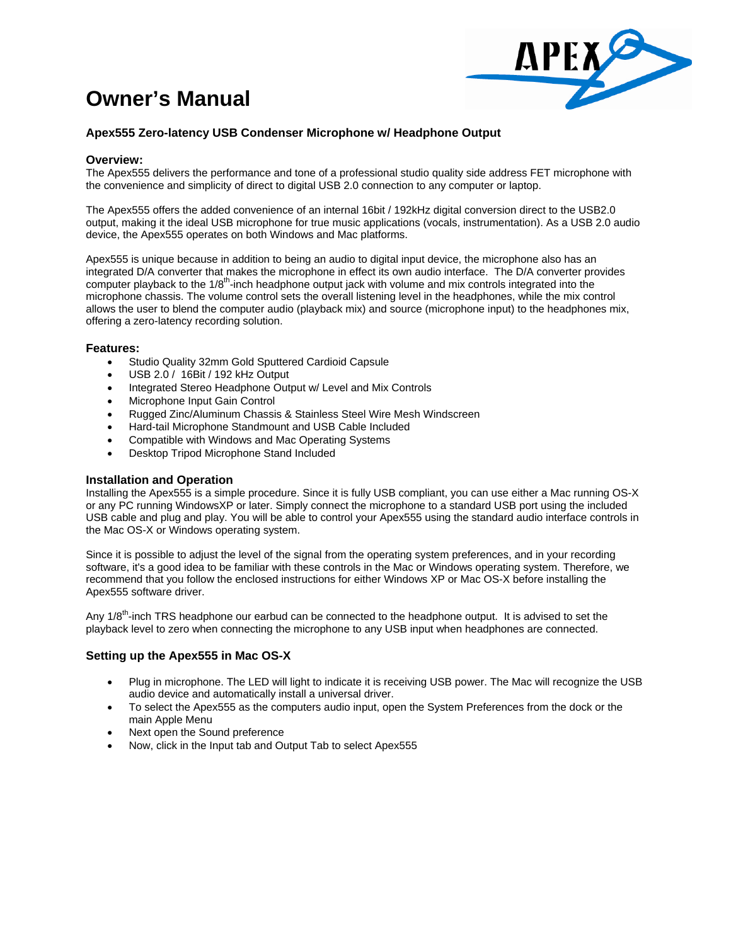# **Owner's Manual**



## **Apex555 Zero-latency USB Condenser Microphone w/ Headphone Output**

#### **Overview:**

The Apex555 delivers the performance and tone of a professional studio quality side address FET microphone with the convenience and simplicity of direct to digital USB 2.0 connection to any computer or laptop.

The Apex555 offers the added convenience of an internal 16bit / 192kHz digital conversion direct to the USB2.0 output, making it the ideal USB microphone for true music applications (vocals, instrumentation). As a USB 2.0 audio device, the Apex555 operates on both Windows and Mac platforms.

Apex555 is unique because in addition to being an audio to digital input device, the microphone also has an integrated D/A converter that makes the microphone in effect its own audio interface. The D/A converter provides computer playback to the 1/8<sup>th</sup>-inch headphone output jack with volume and mix controls integrated into the microphone chassis. The volume control sets the overall listening level in the headphones, while the mix control allows the user to blend the computer audio (playback mix) and source (microphone input) to the headphones mix, offering a zero-latency recording solution.

#### **Features:**

- Studio Quality 32mm Gold Sputtered Cardioid Capsule
- USB 2.0 / 16Bit / 192 kHz Output
- Integrated Stereo Headphone Output w/ Level and Mix Controls
- Microphone Input Gain Control
- Rugged Zinc/Aluminum Chassis & Stainless Steel Wire Mesh Windscreen
- Hard-tail Microphone Standmount and USB Cable Included
- Compatible with Windows and Mac Operating Systems
- Desktop Tripod Microphone Stand Included

#### **Installation and Operation**

Installing the Apex555 is a simple procedure. Since it is fully USB compliant, you can use either a Mac running OS-X or any PC running WindowsXP or later. Simply connect the microphone to a standard USB port using the included USB cable and plug and play. You will be able to control your Apex555 using the standard audio interface controls in the Mac OS-X or Windows operating system.

Since it is possible to adjust the level of the signal from the operating system preferences, and in your recording software, it's a good idea to be familiar with these controls in the Mac or Windows operating system. Therefore, we recommend that you follow the enclosed instructions for either Windows XP or Mac OS-X before installing the Apex555 software driver.

Any 1/8<sup>th</sup>-inch TRS headphone our earbud can be connected to the headphone output. It is advised to set the playback level to zero when connecting the microphone to any USB input when headphones are connected.

#### **Setting up the Apex555 in Mac OS-X**

- Plug in microphone. The LED will light to indicate it is receiving USB power. The Mac will recognize the USB audio device and automatically install a universal driver.
- To select the Apex555 as the computers audio input, open the System Preferences from the dock or the main Apple Menu
- Next open the Sound preference
- Now, click in the Input tab and Output Tab to select Apex555